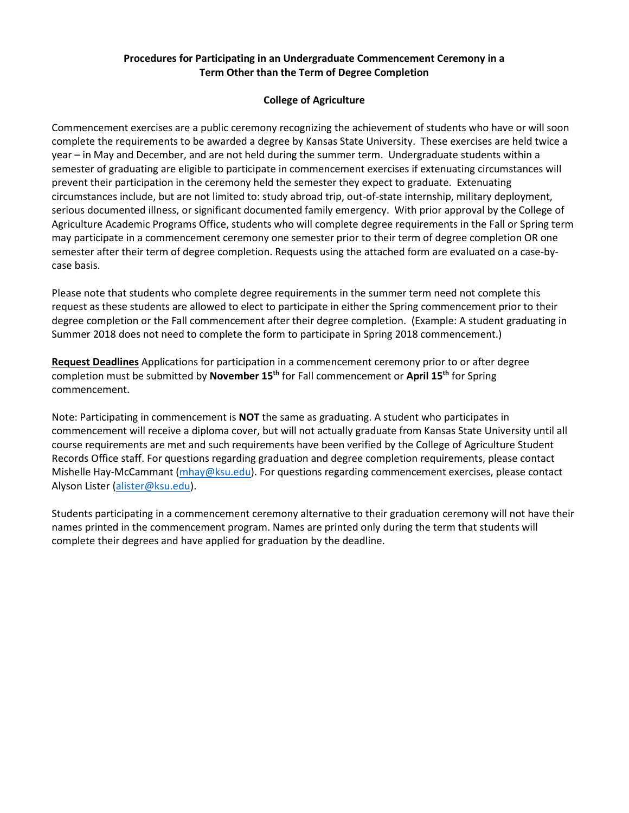## **Procedures for Participating in an Undergraduate Commencement Ceremony in a Term Other than the Term of Degree Completion**

## **College of Agriculture**

Commencement exercises are a public ceremony recognizing the achievement of students who have or will soon complete the requirements to be awarded a degree by Kansas State University. These exercises are held twice a year – in May and December, and are not held during the summer term. Undergraduate students within a semester of graduating are eligible to participate in commencement exercises if extenuating circumstances will prevent their participation in the ceremony held the semester they expect to graduate. Extenuating circumstances include, but are not limited to: study abroad trip, out-of-state internship, military deployment, serious documented illness, or significant documented family emergency. With prior approval by the College of Agriculture Academic Programs Office, students who will complete degree requirements in the Fall or Spring term may participate in a commencement ceremony one semester prior to their term of degree completion OR one semester after their term of degree completion. Requests using the attached form are evaluated on a case-bycase basis.

Please note that students who complete degree requirements in the summer term need not complete this request as these students are allowed to elect to participate in either the Spring commencement prior to their degree completion or the Fall commencement after their degree completion. (Example: A student graduating in Summer 2018 does not need to complete the form to participate in Spring 2018 commencement.)

**Request Deadlines** Applications for participation in a commencement ceremony prior to or after degree completion must be submitted by **November 15th** for Fall commencement or **April 15th** for Spring commencement.

Note: Participating in commencement is **NOT** the same as graduating. A student who participates in commencement will receive a diploma cover, but will not actually graduate from Kansas State University until all course requirements are met and such requirements have been verified by the College of Agriculture Student Records Office staff. For questions regarding graduation and degree completion requirements, please contact Mishelle Hay-McCammant [\(mhay@ksu.edu](mailto:mhay@ksu.edu)). For questions regarding commencement exercises, please contact Alyson Lister ([alister@ksu.edu](mailto:alister@ksu.edu)).

Students participating in a commencement ceremony alternative to their graduation ceremony will not have their names printed in the commencement program. Names are printed only during the term that students will complete their degrees and have applied for graduation by the deadline.